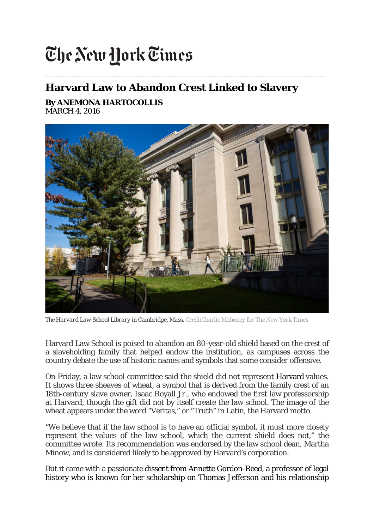## The New York Times

## **Harvard Law to Abandon Crest Linked to Slavery**

*\_\_\_\_\_\_\_\_\_\_\_\_\_\_\_\_\_\_\_\_\_\_\_\_\_\_\_\_\_\_\_\_\_\_\_\_\_\_\_\_\_\_\_\_\_\_\_\_\_\_\_\_\_\_\_\_\_\_\_\_\_\_\_\_\_\_\_\_\_\_\_\_\_\_\_\_\_\_\_\_\_\_\_\_\_\_\_*

**By [ANEMONA HARTOCOLLIS](http://topics.nytimes.com/top/reference/timestopics/people/h/anemona_hartocollis/index.html)** MARCH 4, 2016



*The Harvard Law School Library in Cambridge, Mass. CreditCharlie Mahoney for The New York Times*

Harvard Law School is poised to abandon an 80-year-old shield based on the crest of a slaveholding family that helped endow the institution, as campuses across the country debate the use of historic names and symbols that some consider offensive.

On Friday, a law school committee said the shield did not represent Harvard values. It shows three sheaves of wheat, a symbol that is derived from the family crest of an 18th-century slave owner, Isaac Royall Jr., who endowed the first law professorship at Harvard, though the gift did not by itself create the law school. The image of the wheat appears under the word "Veritas," or "Truth" in Latin, the Harvard motto.

"We believe that if the law school is to have an official symbol, it must more closely represent the values of the law school, which the current shield does not," the committee wrote. Its recommendation was endorsed by the law school dean, Martha Minow, and is considered likely to be approved by Harvard's corporation.

But it came with a passionate dissent from Annette Gordon-Reed, a professor of legal history who is known for her scholarship on Thomas Jefferson and his relationship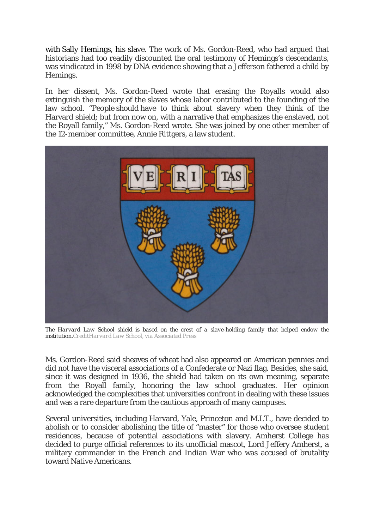with Sally Hemings, his slave. The work of Ms. Gordon-Reed, who had argued that historians had too readily discounted the oral testimony of Hemings's descendants, was vindicated in 1998 by DNA evidence showing that a Jefferson fathered a child by Hemings.

In her dissent, Ms. Gordon-Reed wrote that erasing the Royalls would also extinguish the memory of the slaves whose labor contributed to the founding of the law school. "People *should* have to think about slavery when they think of the Harvard shield; but from now on, with a narrative that emphasizes the enslaved, not the Royall family," Ms. Gordon-Reed wrote. She was joined by one other member of the 12-member committee, Annie Rittgers, a law student.



*The Harvard Law School shield is based on the crest of a slave-holding family that helped endow the institution.CreditHarvard Law School, via Associated Press*

Ms. Gordon-Reed said sheaves of wheat had also appeared on American pennies and did not have the visceral associations of a Confederate or Nazi flag. Besides, she said, since it was designed in 1936, the shield had taken on its own meaning, separate from the Royall family, honoring the law school graduates. Her opinion acknowledged the complexities that universities confront in dealing with these issues and was a rare departure from the cautious approach of many campuses.

Several universities, including Harvard, Yale, Princeton and M.I.T., have decided to abolish or to consider abolishing the title of "master" for those who oversee student residences, because of potential associations with slavery. Amherst College has decided to purge official references to its unofficial mascot, Lord Jeffery Amherst, a military commander in the French and Indian War who was accused of brutality toward Native Americans.